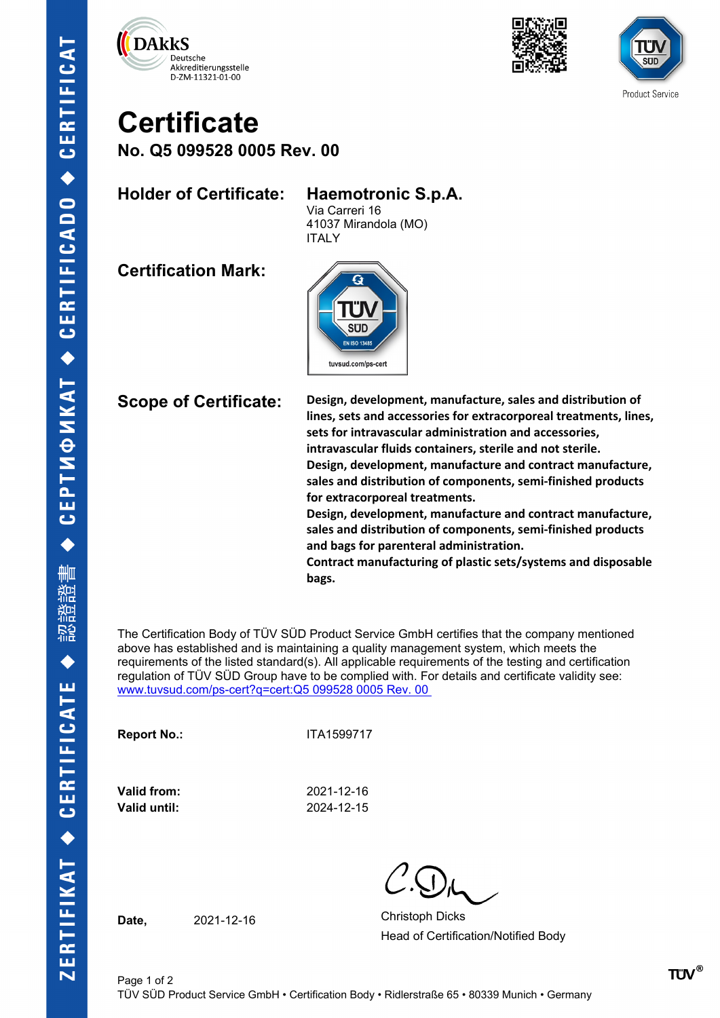





## **Certificate**

**No. Q5 099528 0005 Rev. 00**

## **Holder of Certificate: Haemotronic S.p.A.**

Via Carreri 16

41037 Mirandola (MO) ITALY

**Certification Mark:**



**Scope of Certificate: Design, development, manufacture, sales and distribution of lines, sets and accessories for extracorporeal treatments, lines, sets for intravascular administration and accessories, intravascular fluids containers, sterile and not sterile. Design, development, manufacture and contract manufacture, sales and distribution of components, semi-finished products for extracorporeal treatments.**

**Design, development, manufacture and contract manufacture, sales and distribution of components, semi-finished products and bags for parenteral administration.**

**Contract manufacturing of plastic sets/systems and disposable bags.**

The Certification Body of TÜV SÜD Product Service GmbH certifies that the company mentioned above has established and is maintaining a quality management system, which meets the requirements of the listed standard(s). All applicable requirements of the testing and certification regulation of TÜV SÜD Group have to be complied with. For details and certificate validity see: [www.tuvsud.com/ps-cert?q=cert:Q5 099528 0005 Rev. 00](http://www.tuvsud.com/ps-cert?q=cert:Q5%20099528%200005%20Rev.%2000%C2%A0) 

**Report No.:** ITA1599717

**Valid from:** 2021-12-16 **Valid until:** 2024-12-15

Date. 2021-12-16 Christoph Dicks Head of Certification/Notified Body